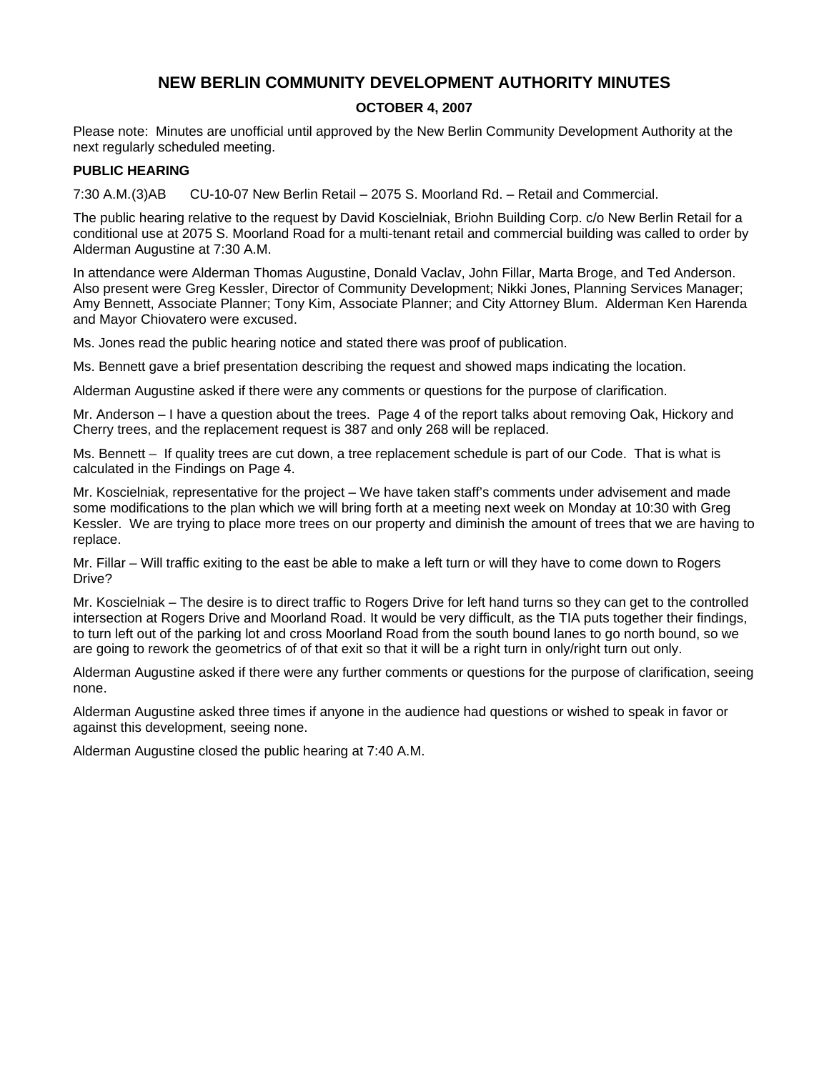# **NEW BERLIN COMMUNITY DEVELOPMENT AUTHORITY MINUTES**

### **OCTOBER 4, 2007**

Please note: Minutes are unofficial until approved by the New Berlin Community Development Authority at the next regularly scheduled meeting.

### **PUBLIC HEARING**

7:30 A.M. (3)AB CU-10-07 New Berlin Retail – 2075 S. Moorland Rd. – Retail and Commercial.

The public hearing relative to the request by David Koscielniak, Briohn Building Corp. c/o New Berlin Retail for a conditional use at 2075 S. Moorland Road for a multi-tenant retail and commercial building was called to order by Alderman Augustine at 7:30 A.M.

In attendance were Alderman Thomas Augustine, Donald Vaclav, John Fillar, Marta Broge, and Ted Anderson. Also present were Greg Kessler, Director of Community Development; Nikki Jones, Planning Services Manager; Amy Bennett, Associate Planner; Tony Kim, Associate Planner; and City Attorney Blum. Alderman Ken Harenda and Mayor Chiovatero were excused.

Ms. Jones read the public hearing notice and stated there was proof of publication.

Ms. Bennett gave a brief presentation describing the request and showed maps indicating the location.

Alderman Augustine asked if there were any comments or questions for the purpose of clarification.

Mr. Anderson – I have a question about the trees. Page 4 of the report talks about removing Oak, Hickory and Cherry trees, and the replacement request is 387 and only 268 will be replaced.

Ms. Bennett – If quality trees are cut down, a tree replacement schedule is part of our Code. That is what is calculated in the Findings on Page 4.

Mr. Koscielniak, representative for the project – We have taken staff's comments under advisement and made some modifications to the plan which we will bring forth at a meeting next week on Monday at 10:30 with Greg Kessler. We are trying to place more trees on our property and diminish the amount of trees that we are having to replace.

Mr. Fillar – Will traffic exiting to the east be able to make a left turn or will they have to come down to Rogers Drive?

Mr. Koscielniak – The desire is to direct traffic to Rogers Drive for left hand turns so they can get to the controlled intersection at Rogers Drive and Moorland Road. It would be very difficult, as the TIA puts together their findings, to turn left out of the parking lot and cross Moorland Road from the south bound lanes to go north bound, so we are going to rework the geometrics of of that exit so that it will be a right turn in only/right turn out only.

Alderman Augustine asked if there were any further comments or questions for the purpose of clarification, seeing none.

Alderman Augustine asked three times if anyone in the audience had questions or wished to speak in favor or against this development, seeing none.

Alderman Augustine closed the public hearing at 7:40 A.M.